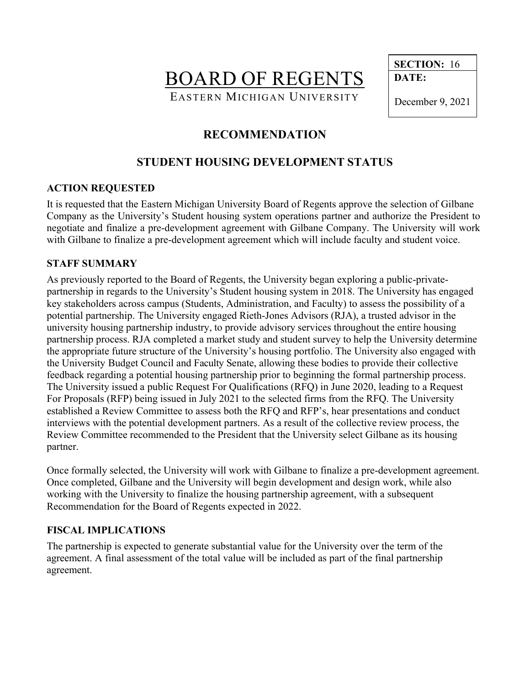BOARD OF REGENTS EASTERN MICHIGAN UNIVERSITY

 **DATE:**

December 9, 2021

**SECTION:** 16

# **RECOMMENDATION**

# **STUDENT HOUSING DEVELOPMENT STATUS**

### **ACTION REQUESTED**

It is requested that the Eastern Michigan University Board of Regents approve the selection of Gilbane Company as the University's Student housing system operations partner and authorize the President to negotiate and finalize a pre-development agreement with Gilbane Company. The University will work with Gilbane to finalize a pre-development agreement which will include faculty and student voice.

#### **STAFF SUMMARY**

As previously reported to the Board of Regents, the University began exploring a public-privatepartnership in regards to the University's Student housing system in 2018. The University has engaged key stakeholders across campus (Students, Administration, and Faculty) to assess the possibility of a potential partnership. The University engaged Rieth-Jones Advisors (RJA), a trusted advisor in the university housing partnership industry, to provide advisory services throughout the entire housing partnership process. RJA completed a market study and student survey to help the University determine the appropriate future structure of the University's housing portfolio. The University also engaged with the University Budget Council and Faculty Senate, allowing these bodies to provide their collective feedback regarding a potential housing partnership prior to beginning the formal partnership process. The University issued a public Request For Qualifications (RFQ) in June 2020, leading to a Request For Proposals (RFP) being issued in July 2021 to the selected firms from the RFQ. The University established a Review Committee to assess both the RFQ and RFP's, hear presentations and conduct interviews with the potential development partners. As a result of the collective review process, the Review Committee recommended to the President that the University select Gilbane as its housing partner.

Once formally selected, the University will work with Gilbane to finalize a pre-development agreement. Once completed, Gilbane and the University will begin development and design work, while also working with the University to finalize the housing partnership agreement, with a subsequent Recommendation for the Board of Regents expected in 2022.

### **FISCAL IMPLICATIONS**

The partnership is expected to generate substantial value for the University over the term of the agreement. A final assessment of the total value will be included as part of the final partnership agreement.